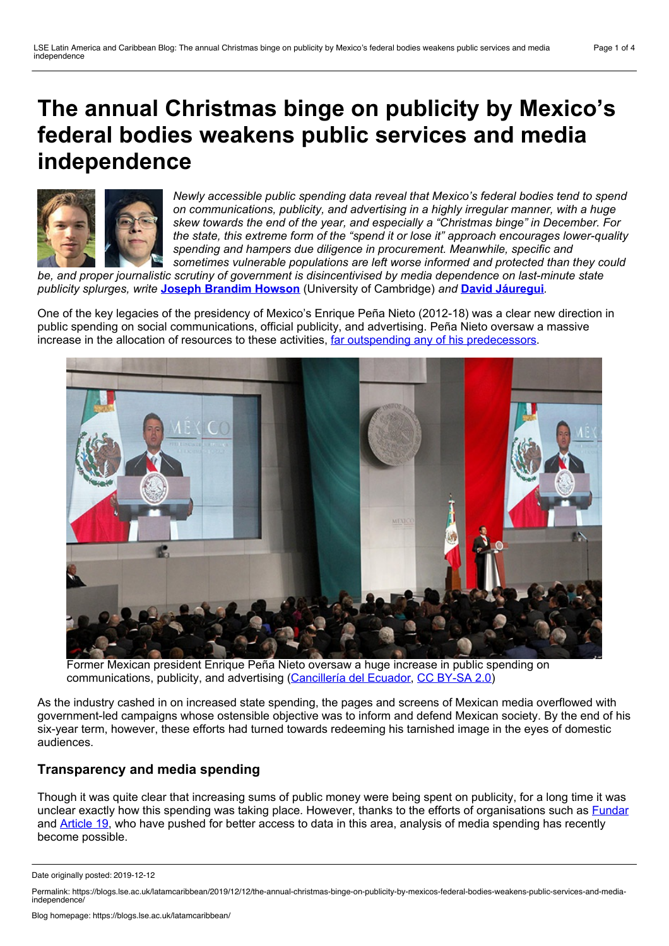# **The annual Christmas binge on publicity by Mexico's federal bodies weakens public services and media independence**



*Newly accessible public spending data reveal that Mexico's federal bodies tend to spend on communications, publicity, and advertising in a highly irregular manner, with a huge skew towards the end of the year, and especially a "Christmas binge" in December. For the state, this extreme form of the "spend it or lose it" approach encourages lower-quality spending and hampers due diligence in procurement. Meanwhile, specific and sometimes vulnerable populations are left worse informed and protected than they could*

*be, and proper journalistic scrutiny of government is disincentivised by media dependence on last-minute state publicity splurges, write* **Joseph [Brandim](#page-3-0) Howson** (University of Cambridge) *and* **David [Jáuregui](#page-3-0)***.*

One of the key legacies of the presidency of Mexico's Enrique Peña Nieto (2012-18) was a clear new direction in public spending on social communications, official publicity, and advertising. Peña Nieto oversaw a massive increase in the allocation of resources to these activities, far outspending any of his [predecessors](https://www.nytimes.com/2017/12/25/world/americas/mexico-press-government-advertising.html).



Former Mexican president Enrique Peña Nieto oversaw a huge increase in public spending on communications, publicity, and advertising ([Cancillería](https://www.flickr.com/photos/dgcomsoc/8235329693/in/album-72157632149120108/) del Ecuador, CC [BY-SA](https://creativecommons.org/licenses/by-sa/2.0/) 2.0)

As the industry cashed in on increased state spending, the pages and screens of Mexican media overflowed with government-led campaigns whose ostensible objective was to inform and defend Mexican society. By the end of his six-year term, however, these efforts had turned towards redeeming his tarnished image in the eyes of domestic audiences.

### **Transparency and media spending**

Though it was quite clear that increasing sums of public money were being spent on publicity, for a long time it was unclear exactly how this spending was taking place. However, thanks to the efforts of organisations such as **[Fundar](https://fundar.org.mx/)** and [Article](https://articulo19.org/) 19, who have pushed for better access to data in this area, analysis of media spending has recently become possible.

Date originally posted: 2019-12-12

Permalink: https://blogs.lse.ac.uk/latamcaribbean/2019/12/12/the-annual-christmas-binge-on-publicity-by-mexicos-federal-bodies-weakens-public-services-and-mediaindependence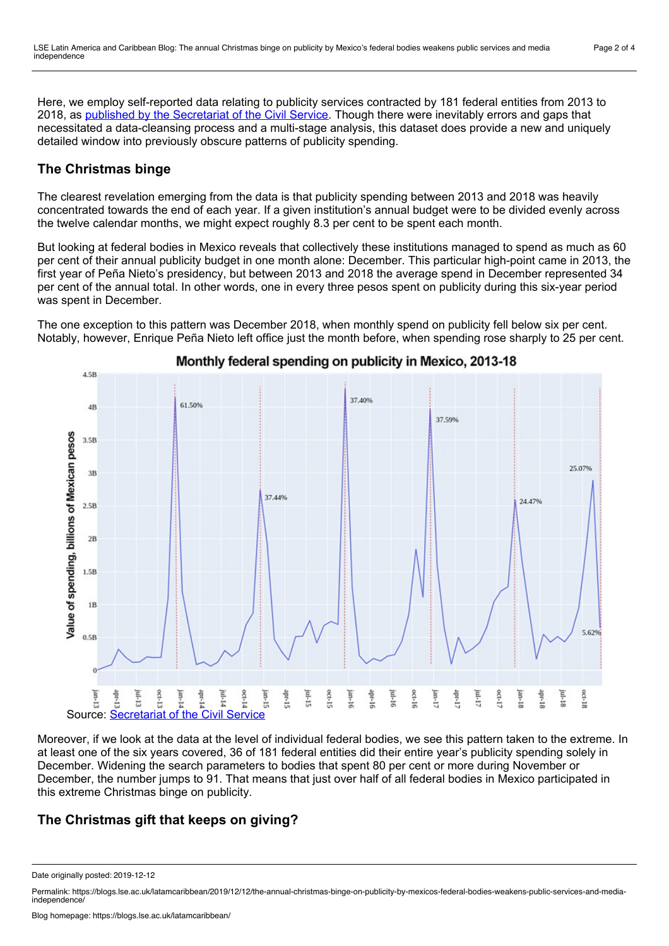Here, we employ self-reported data relating to publicity services contracted by 181 federal entities from 2013 to 2018, as published by the [Secretariat](http://publicidadoficial.com.mx/pagina-buscador/) of the Civil Service. Though there were inevitably errors and gaps that necessitated a data-cleansing process and a multi-stage analysis, this dataset does provide a new and uniquely detailed window into previously obscure patterns of publicity spending.

### **The Christmas binge**

The clearest revelation emerging from the data is that publicity spending between 2013 and 2018 was heavily concentrated towards the end of each year. If a given institution's annual budget were to be divided evenly across the twelve calendar months, we might expect roughly 8.3 per cent to be spent each month.

But looking at federal bodies in Mexico reveals that collectively these institutions managed to spend as much as 60 per cent of their annual publicity budget in one month alone: December. This particular high-point came in 2013, the first year of Peña Nieto's presidency, but between 2013 and 2018 the average spend in December represented 34 per cent of the annual total. In other words, one in every three pesos spent on publicity during this six-year period was spent in December.

The one exception to this pattern was December 2018, when monthly spend on publicity fell below six per cent. Notably, however, Enrique Peña Nieto left office just the month before, when spending rose sharply to 25 per cent.



Monthly federal spending on publicity in Mexico, 2013-18

Moreover, if we look at the data at the level of individual federal bodies, we see this pattern taken to the extreme. In at least one of the six years covered, 36 of 181 federal entities did their entire year's publicity spending solely in December. Widening the search parameters to bodies that spent 80 per cent or more during November or December, the number jumps to 91. That means that just over half of all federal bodies in Mexico participated in this extreme Christmas binge on publicity.

### **The Christmas gift that keeps on giving?**

Date originally posted: 2019-12-12

Permalink: https://blogs.lse.ac.uk/latamcaribbean/2019/12/12/the-annual-christmas-binge-on-publicity-by-mexicos-federal-bodies-weakens-public-services-and-mediaindependence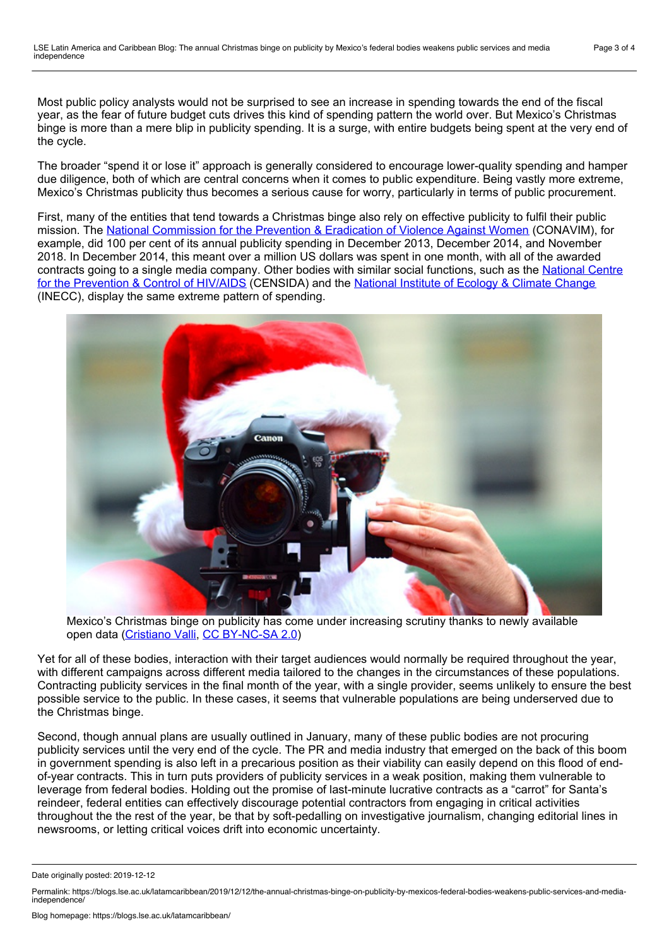Most public policy analysts would not be surprised to see an increase in spending towards the end of the fiscal year, as the fear of future budget cuts drives this kind of spending pattern the world over. But Mexico's Christmas binge is more than a mere blip in publicity spending. It is a surge, with entire budgets being spent at the very end of the cycle.

The broader "spend it or lose it" approach is generally considered to encourage lower-quality spending and hamper due diligence, both of which are central concerns when it comes to public expenditure. Being vastly more extreme, Mexico's Christmas publicity thus becomes a serious cause for worry, particularly in terms of public procurement.

First, many of the entities that tend towards a Christmas binge also rely on effective publicity to fulfil their public mission. The National [Commission](https://www.gob.mx/conavim) for the Prevention & Eradication of Violence Against Women (CONAVIM), for example, did 100 per cent of its annual publicity spending in December 2013, December 2014, and November 2018. In December 2014, this meant over a million US dollars was spent in one month, with all of the awarded contracts going to a single media company. Other bodies with similar social functions, such as the National Centre for the Prevention & Control of HIV/AIDS [\(CENSIDA\)](https://www.gob.mx/censida) and the [National](https://www.gob.mx/inecc) Institute of Ecology & Climate Change (INECC), display the same extreme pattern of spending.



Mexico's Christmas binge on publicity has come under increasing scrutiny thanks to newly available open data [\(Cristiano](https://www.flickr.com/photos/cristi4nov4lli/8274980573/) Valli, CC [BY-NC-SA](https://creativecommons.org/licenses/by-nc-sa/2.0/) 2.0)

Yet for all of these bodies, interaction with their target audiences would normally be required throughout the year, with different campaigns across different media tailored to the changes in the circumstances of these populations. Contracting publicity services in the final month of the year, with a single provider, seems unlikely to ensure the best possible service to the public. In these cases, it seems that vulnerable populations are being underserved due to the Christmas binge.

Second, though annual plans are usually outlined in January, many of these public bodies are not procuring publicity services until the very end of the cycle. The PR and media industry that emerged on the back of this boom in government spending is also left in a precarious position as their viability can easily depend on this flood of end of-year contracts. This in turn puts providers of publicity services in a weak position, making them vulnerable to leverage from federal bodies. Holding out the promise of last-minute lucrative contracts as a "carrot" for Santa's reindeer, federal entities can effectively discourage potential contractors from engaging in critical activities throughout the the rest of the year, be that by soft-pedalling on investigative journalism, changing editorial lines in newsrooms, or letting critical voices drift into economic uncertainty.

Date originally posted: 2019-12-12

Permalink: https://blogs.lse.ac.uk/latamcaribbean/2019/12/12/the-annual-christmas-binge-on-publicity-by-mexicos-federal-bodies-weakens-public-services-and-mediaindependence